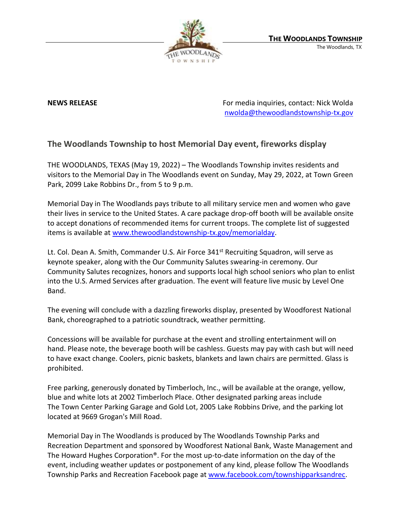

**NEWS RELEASE** For media inquiries, contact: Nick Wolda **NEWS** RELEASE [nwolda@thewoodlandstownship-tx.gov](mailto:nwolda@thewoodlandstownship-tx.gov)

## **The Woodlands Township to host Memorial Day event, fireworks display**

THE WOODLANDS, TEXAS (May 19, 2022) – The Woodlands Township invites residents and visitors to the Memorial Day in The Woodlands event on Sunday, May 29, 2022, at Town Green Park, 2099 Lake Robbins Dr., from 5 to 9 p.m.

Memorial Day in The Woodlands pays tribute to all military service men and women who gave their lives in service to the United States. A care package drop-off booth will be available onsite to accept donations of recommended items for current troops. The complete list of suggested items is available at [www.thewoodlandstownship-tx.gov/memorialday.](http://www.thewoodlandstownship-tx.gov/memorialday)

Lt. Col. Dean A. Smith, Commander U.S. Air Force 341<sup>st</sup> Recruiting Squadron, will serve as keynote speaker, along with the Our Community Salutes swearing-in ceremony. Our Community Salutes recognizes, honors and supports local high school seniors who plan to enlist into the U.S. Armed Services after graduation. The event will feature live music by Level One Band.

The evening will conclude with a dazzling fireworks display, presented by Woodforest National Bank, choreographed to a patriotic soundtrack, weather permitting.

Concessions will be available for purchase at the event and strolling entertainment will on hand. Please note, the beverage booth will be cashless. Guests may pay with cash but will need to have exact change. Coolers, picnic baskets, blankets and lawn chairs are permitted. Glass is prohibited.

Free parking, generously donated by Timberloch, Inc., will be available at the orange, yellow, blue and white lots at 2002 Timberloch Place. Other designated parking areas include The Town Center Parking Garage and Gold Lot, 2005 Lake Robbins Drive, and the parking lot located at 9669 Grogan's Mill Road.

Memorial Day in The Woodlands is produced by The Woodlands Township Parks and Recreation Department and sponsored by Woodforest National Bank, Waste Management and The Howard Hughes Corporation®. For the most up-to-date information on the day of the event, including weather updates or postponement of any kind, please follow The Woodlands Township Parks and Recreation Facebook page at [www.facebook.com/townshipparksandrec.](http://www.facebook.com/townshipparksandrec)